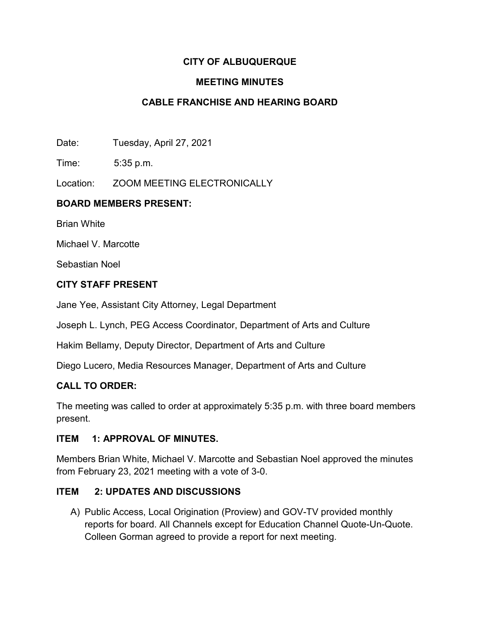# **CITY OF ALBUQUERQUE**

## **MEETING MINUTES**

# **CABLE FRANCHISE AND HEARING BOARD**

Date: Tuesday, April 27, 2021

Time: 5:35 p.m.

Location: ZOOM MEETING ELECTRONICALLY

## **BOARD MEMBERS PRESENT:**

Brian White

Michael V. Marcotte

Sebastian Noel

## **CITY STAFF PRESENT**

Jane Yee, Assistant City Attorney, Legal Department

Joseph L. Lynch, PEG Access Coordinator, Department of Arts and Culture

Hakim Bellamy, Deputy Director, Department of Arts and Culture

Diego Lucero, Media Resources Manager, Department of Arts and Culture

### **CALL TO ORDER:**

The meeting was called to order at approximately 5:35 p.m. with three board members present.

### **ITEM 1: APPROVAL OF MINUTES.**

Members Brian White, Michael V. Marcotte and Sebastian Noel approved the minutes from February 23, 2021 meeting with a vote of 3-0.

### **ITEM 2: UPDATES AND DISCUSSIONS**

A) Public Access, Local Origination (Proview) and GOV-TV provided monthly reports for board. All Channels except for Education Channel Quote-Un-Quote. Colleen Gorman agreed to provide a report for next meeting.